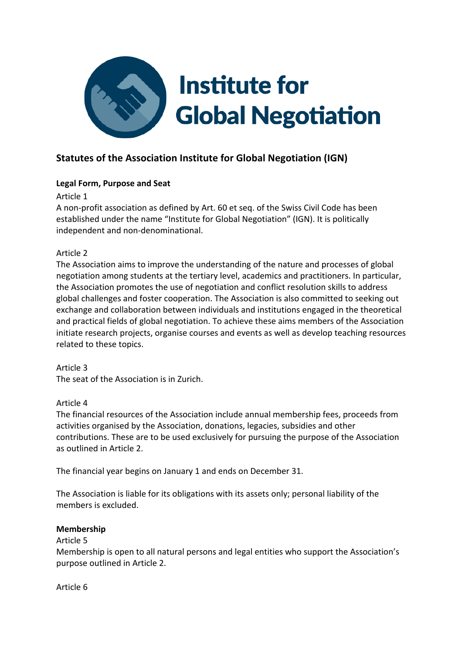

# **Statutes of the Association Institute for Global Negotiation (IGN)**

## **Legal Form, Purpose and Seat**

Article 1

A non-profit association as defined by Art. 60 et seq. of the Swiss Civil Code has been established under the name "Institute for Global Negotiation" (IGN). It is politically independent and non-denominational.

## Article 2

The Association aims to improve the understanding of the nature and processes of global negotiation among students at the tertiary level, academics and practitioners. In particular, the Association promotes the use of negotiation and conflict resolution skills to address global challenges and foster cooperation. The Association is also committed to seeking out exchange and collaboration between individuals and institutions engaged in the theoretical and practical fields of global negotiation. To achieve these aims members of the Association initiate research projects, organise courses and events as well as develop teaching resources related to these topics.

Article 3 The seat of the Association is in Zurich.

## Article 4

The financial resources of the Association include annual membership fees, proceeds from activities organised by the Association, donations, legacies, subsidies and other contributions. These are to be used exclusively for pursuing the purpose of the Association as outlined in Article 2.

The financial year begins on January 1 and ends on December 31.

The Association is liable for its obligations with its assets only; personal liability of the members is excluded.

## **Membership**

Article 5

Membership is open to all natural persons and legal entities who support the Association's purpose outlined in Article 2.

Article 6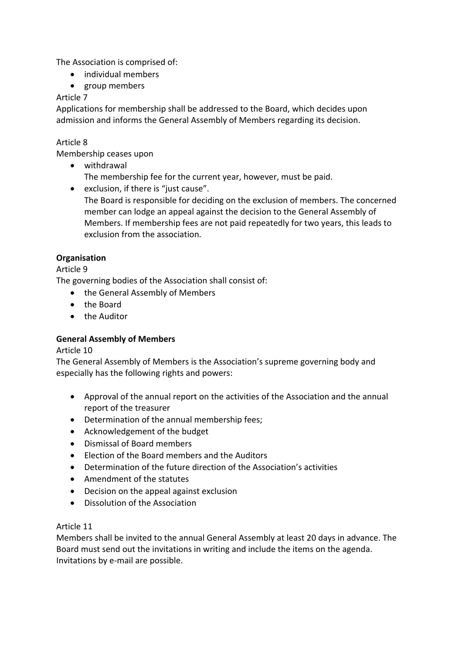The Association is comprised of:

- individual members
- group members

## Article 7

Applications for membership shall be addressed to the Board, which decides upon admission and informs the General Assembly of Members regarding its decision.

## Article 8

Membership ceases upon

• withdrawal The membership fee for the current year, however, must be paid.

• exclusion, if there is "just cause". The Board is responsible for deciding on the exclusion of members. The concerned member can lodge an appeal against the decision to the General Assembly of Members. If membership fees are not paid repeatedly for two years, this leads to exclusion from the association.

## **Organisation**

Article 9

The governing bodies of the Association shall consist of:

- the General Assembly of Members
- the Board
- the Auditor

## **General Assembly of Members**

## Article 10

The General Assembly of Members is the Association's supreme governing body and especially has the following rights and powers:

- Approval of the annual report on the activities of the Association and the annual report of the treasurer
- Determination of the annual membership fees;
- Acknowledgement of the budget
- Dismissal of Board members
- Election of the Board members and the Auditors
- Determination of the future direction of the Association's activities
- Amendment of the statutes
- Decision on the appeal against exclusion
- Dissolution of the Association

## Article 11

Members shall be invited to the annual General Assembly at least 20 days in advance. The Board must send out the invitations in writing and include the items on the agenda. Invitations by e-mail are possible.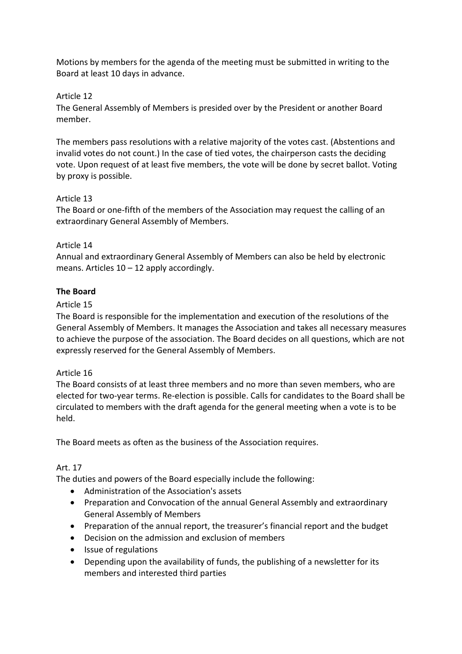Motions by members for the agenda of the meeting must be submitted in writing to the Board at least 10 days in advance.

#### Article 12

The General Assembly of Members is presided over by the President or another Board member.

The members pass resolutions with a relative majority of the votes cast. (Abstentions and invalid votes do not count.) In the case of tied votes, the chairperson casts the deciding vote. Upon request of at least five members, the vote will be done by secret ballot. Voting by proxy is possible.

#### Article 13

The Board or one-fifth of the members of the Association may request the calling of an extraordinary General Assembly of Members.

#### Article 14

Annual and extraordinary General Assembly of Members can also be held by electronic means. Articles  $10 - 12$  apply accordingly.

#### **The Board**

#### Article 15

The Board is responsible for the implementation and execution of the resolutions of the General Assembly of Members. It manages the Association and takes all necessary measures to achieve the purpose of the association. The Board decides on all questions, which are not expressly reserved for the General Assembly of Members.

#### Article 16

The Board consists of at least three members and no more than seven members, who are elected for two-year terms. Re-election is possible. Calls for candidates to the Board shall be circulated to members with the draft agenda for the general meeting when a vote is to be held.

The Board meets as often as the business of the Association requires.

## Art. 17

The duties and powers of the Board especially include the following:

- Administration of the Association's assets
- Preparation and Convocation of the annual General Assembly and extraordinary General Assembly of Members
- Preparation of the annual report, the treasurer's financial report and the budget
- Decision on the admission and exclusion of members
- Issue of regulations
- Depending upon the availability of funds, the publishing of a newsletter for its members and interested third parties